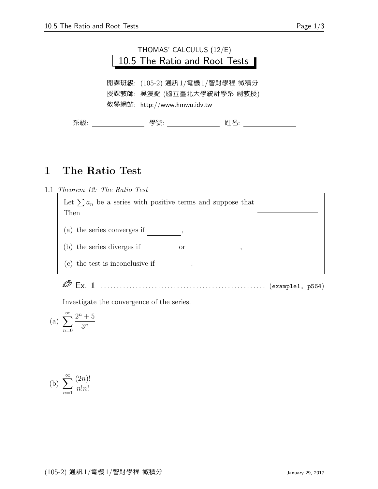

## 1 The Ratio Test



Investigate the convergence of the series.

(a) 
$$
\sum_{n=0}^{\infty} \frac{2^n + 5}{3^n}
$$

(b) 
$$
\sum_{n=1}^{\infty} \frac{(2n)!}{n!n!}
$$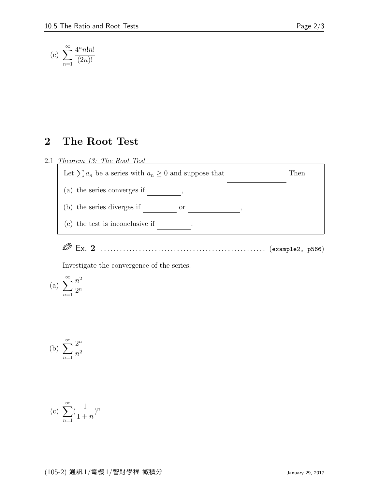$$
(c) \sum_{n=1}^{\infty} \frac{4^n n! n!}{(2n)!}
$$

## 2 The Root Test

## 2.1 Theorem 13: The Root Test



Ex. 2 . . . . . . . . . . . . . . . . . . . . . . . . . . . . . . . . . . . . . . . . . . . . . . . . . . . . (example2, p566)

Investigate the convergence of the series.

(a) 
$$
\sum_{n=1}^{\infty} \frac{n^2}{2^n}
$$

(b) 
$$
\sum_{n=1}^{\infty} \frac{2^n}{n^2}
$$

(c) 
$$
\sum_{n=1}^{\infty} (\frac{1}{1+n})^n
$$